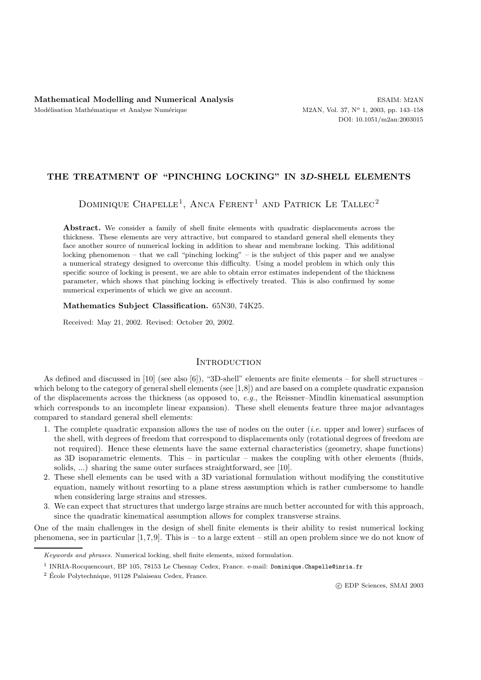## **THE TREATMENT OF "PINCHING LOCKING" IN 3***D***-SHELL ELEMENTS**

DOMINIQUE CHAPELLE<sup>1</sup>, ANCA FERENT<sup>1</sup> AND PATRICK LE TALLEC<sup>2</sup>

**Abstract.** We consider a family of shell finite elements with quadratic displacements across the thickness. These elements are very attractive, but compared to standard general shell elements they face another source of numerical locking in addition to shear and membrane locking. This additional locking phenomenon – that we call "pinching locking" – is the subject of this paper and we analyse a numerical strategy designed to overcome this difficulty. Using a model problem in which only this specific source of locking is present, we are able to obtain error estimates independent of the thickness parameter, which shows that pinching locking is effectively treated. This is also confirmed by some numerical experiments of which we give an account.

#### **Mathematics Subject Classification.** 65N30, 74K25.

Received: May 21, 2002. Revised: October 20, 2002.

### **INTRODUCTION**

As defined and discussed in [10] (see also [6]), "3D-shell" elements are finite elements – for shell structures – which belong to the category of general shell elements (see [1,8]) and are based on a complete quadratic expansion of the displacements across the thickness (as opposed to, *e.g.*, the Reissner–Mindlin kinematical assumption which corresponds to an incomplete linear expansion). These shell elements feature three major advantages compared to standard general shell elements:

- 1. The complete quadratic expansion allows the use of nodes on the outer (*i.e.* upper and lower) surfaces of the shell, with degrees of freedom that correspond to displacements only (rotational degrees of freedom are not required). Hence these elements have the same external characteristics (geometry, shape functions) as 3D isoparametric elements. This – in particular – makes the coupling with other elements (fluids, solids, ...) sharing the same outer surfaces straightforward, see [10].
- 2. These shell elements can be used with a 3D variational formulation without modifying the constitutive equation, namely without resorting to a plane stress assumption which is rather cumbersome to handle when considering large strains and stresses.
- 3. We can expect that structures that undergo large strains are much better accounted for with this approach, since the quadratic kinematical assumption allows for complex transverse strains.

One of the main challenges in the design of shell finite elements is their ability to resist numerical locking phenomena, see in particular  $[1,7,9]$ . This is – to a large extent – still an open problem since we do not know of

*Keywords and phrases.* Numerical locking, shell finite elements, mixed formulation.

<sup>1</sup> INRIA-Rocquencourt, BP 105, 78153 Le Chesnay Cedex, France. e-mail: Dominique.Chapelle@inria.fr

 $2$  École Polytechnique, 91128 Palaiseau Cedex, France.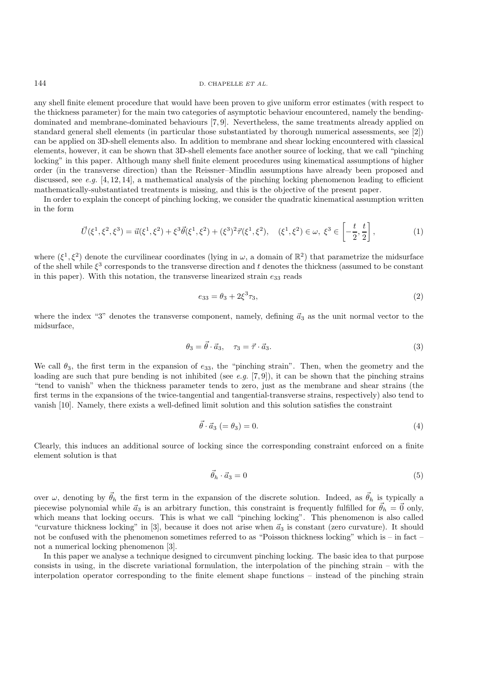#### 144 D. CHAPELLE *ET AL.*

any shell finite element procedure that would have been proven to give uniform error estimates (with respect to the thickness parameter) for the main two categories of asymptotic behaviour encountered, namely the bendingdominated and membrane-dominated behaviours [7, 9]. Nevertheless, the same treatments already applied on standard general shell elements (in particular those substantiated by thorough numerical assessments, see [2]) can be applied on 3D-shell elements also. In addition to membrane and shear locking encountered with classical elements, however, it can be shown that 3D-shell elements face another source of locking, that we call "pinching locking" in this paper. Although many shell finite element procedures using kinematical assumptions of higher order (in the transverse direction) than the Reissner–Mindlin assumptions have already been proposed and discussed, see *e.g.* [4, 12, 14], a mathematical analysis of the pinching locking phenomenon leading to efficient mathematically-substantiated treatments is missing, and this is the objective of the present paper.

In order to explain the concept of pinching locking, we consider the quadratic kinematical assumption written in the form

$$
\vec{U}(\xi^1, \xi^2, \xi^3) = \vec{u}(\xi^1, \xi^2) + \xi^3 \vec{\theta}(\xi^1, \xi^2) + (\xi^3)^2 \vec{\tau}(\xi^1, \xi^2), \quad (\xi^1, \xi^2) \in \omega, \ \xi^3 \in \left[ -\frac{t}{2}, \frac{t}{2} \right],\tag{1}
$$

where  $(\xi^1, \xi^2)$  denote the curvilinear coordinates (lying in  $\omega$ , a domain of  $\mathbb{R}^2$ ) that parametrize the midsurface of the shell while  $\xi^3$  corresponds to the transverse direction and t denotes the thickness (assumed to be constant in this paper). With this notation, the transverse linearized strain  $e_{33}$  reads

$$
e_{33} = \theta_3 + 2\xi^3 \tau_3,\tag{2}
$$

where the index "3" denotes the transverse component, namely, defining  $\vec{a}_3$  as the unit normal vector to the midsurface,

$$
\theta_3 = \vec{\theta} \cdot \vec{a}_3, \quad \tau_3 = \vec{\tau} \cdot \vec{a}_3. \tag{3}
$$

We call  $\theta_3$ , the first term in the expansion of  $e_{33}$ , the "pinching strain". Then, when the geometry and the loading are such that pure bending is not inhibited (see *e.g.* [7, 9]), it can be shown that the pinching strains "tend to vanish" when the thickness parameter tends to zero, just as the membrane and shear strains (the first terms in the expansions of the twice-tangential and tangential-transverse strains, respectively) also tend to vanish [10]. Namely, there exists a well-defined limit solution and this solution satisfies the constraint

$$
\vec{\theta} \cdot \vec{a}_3 \ (= \theta_3) = 0. \tag{4}
$$

Clearly, this induces an additional source of locking since the corresponding constraint enforced on a finite element solution is that

$$
\vec{\theta}_h \cdot \vec{a}_3 = 0 \tag{5}
$$

over  $\omega$ , denoting by  $\vec{\theta}_h$  the first term in the expansion of the discrete solution. Indeed, as  $\vec{\theta}_h$  is typically a piecewise polynomial while  $\vec{a}_3$  is an arbitrary function, this constraint is frequently fulfilled for  $\vec{\theta}_h = \vec{0}$  only, which means that locking occurs. This is what we call "pinching locking". This phenomenon is also called "curvature thickness locking" in [3], because it does not arise when  $\vec{a}_3$  is constant (zero curvature). It should not be confused with the phenomenon sometimes referred to as "Poisson thickness locking" which is – in fact – not a numerical locking phenomenon [3].

In this paper we analyse a technique designed to circumvent pinching locking. The basic idea to that purpose consists in using, in the discrete variational formulation, the interpolation of the pinching strain – with the interpolation operator corresponding to the finite element shape functions – instead of the pinching strain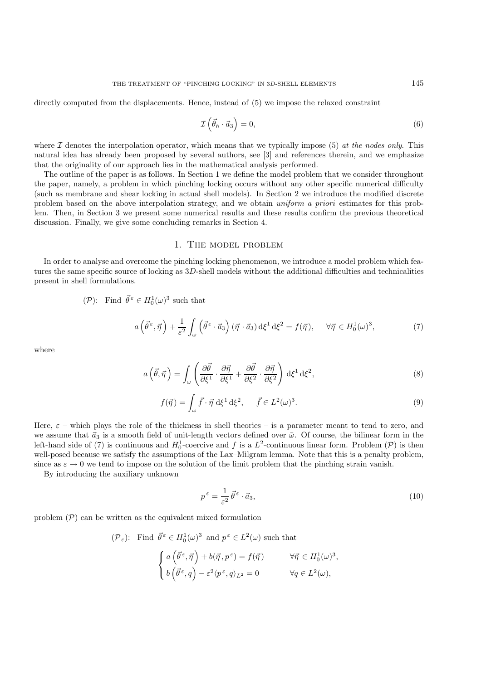directly computed from the displacements. Hence, instead of  $(5)$  we impose the relaxed constraint

$$
\mathcal{I}\left(\vec{\theta}_{h}\cdot\vec{a}_{3}\right)=0,\tag{6}
$$

where  $\mathcal I$  denotes the interpolation operator, which means that we typically impose (5) *at the nodes only*. This natural idea has already been proposed by several authors, see [3] and references therein, and we emphasize that the originality of our approach lies in the mathematical analysis performed.

The outline of the paper is as follows. In Section 1 we define the model problem that we consider throughout the paper, namely, a problem in which pinching locking occurs without any other specific numerical difficulty (such as membrane and shear locking in actual shell models). In Section 2 we introduce the modified discrete problem based on the above interpolation strategy, and we obtain *uniform a priori* estimates for this problem. Then, in Section 3 we present some numerical results and these results confirm the previous theoretical discussion. Finally, we give some concluding remarks in Section 4.

### 1. The model problem

In order to analyse and overcome the pinching locking phenomenon, we introduce a model problem which features the same specific source of locking as 3D-shell models without the additional difficulties and technicalities present in shell formulations.

$$
(\mathcal{P})
$$
: Find  $\vec{\theta}^{\varepsilon} \in H_0^1(\omega)^3$  such that

$$
a\left(\vec{\theta}^{\varepsilon},\vec{\eta}\right) + \frac{1}{\varepsilon^{2}} \int_{\omega} \left(\vec{\theta}^{\varepsilon} \cdot \vec{a}_{3}\right) (\vec{\eta} \cdot \vec{a}_{3}) d\xi^{1} d\xi^{2} = f(\vec{\eta}), \quad \forall \vec{\eta} \in H_{0}^{1}(\omega)^{3},\tag{7}
$$

where

$$
a\left(\vec{\theta},\vec{\eta}\right) = \int_{\omega} \left(\frac{\partial\vec{\theta}}{\partial\xi^1} \cdot \frac{\partial\vec{\eta}}{\partial\xi^1} + \frac{\partial\vec{\theta}}{\partial\xi^2} \cdot \frac{\partial\vec{\eta}}{\partial\xi^2}\right) d\xi^1 d\xi^2,
$$
\n(8)

$$
f(\vec{\eta}) = \int_{\omega} \vec{f} \cdot \vec{\eta} \, d\xi^1 d\xi^2, \quad \vec{f} \in L^2(\omega)^3.
$$
 (9)

Here,  $\varepsilon$  – which plays the role of the thickness in shell theories – is a parameter meant to tend to zero, and we assume that  $\vec{a}_3$  is a smooth field of unit-length vectors defined over  $\bar{\omega}$ . Of course, the bilinear form in the left-hand side of (7) is continuous and  $H_0^1$ -coercive and f is a  $L^2$ -continuous linear form. Problem (P) is then well-posed because we satisfy the assumptions of the Lax–Milgram lemma. Note that this is a penalty problem, since as  $\varepsilon \to 0$  we tend to impose on the solution of the limit problem that the pinching strain vanish.

By introducing the auxiliary unknown

$$
p^{\varepsilon} = \frac{1}{\varepsilon^2} \vec{\theta}^{\varepsilon} \cdot \vec{a}_3,\tag{10}
$$

problem  $(\mathcal{P})$  can be written as the equivalent mixed formulation

$$
(\mathcal{P}_{\varepsilon})\text{: Find }\vec{\theta}^{\varepsilon} \in H_0^1(\omega)^3 \text{ and } p^{\varepsilon} \in L^2(\omega) \text{ such that}
$$
\n
$$
\begin{cases}\na\left(\vec{\theta}^{\varepsilon}, \vec{\eta}\right) + b(\vec{\eta}, p^{\varepsilon}) = f(\vec{\eta}) & \forall \vec{\eta} \in H_0^1(\omega)^3, \\
b\left(\vec{\theta}^{\varepsilon}, q\right) - \varepsilon^2 \langle p^{\varepsilon}, q \rangle_{L^2} = 0 & \forall q \in L^2(\omega),\n\end{cases}
$$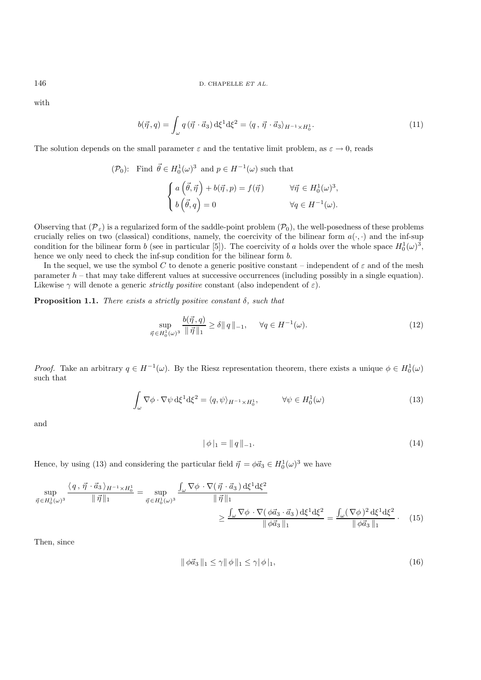with

$$
b(\vec{\eta}, q) = \int_{\omega} q(\vec{\eta} \cdot \vec{a}_3) d\xi^1 d\xi^2 = \langle q, \vec{\eta} \cdot \vec{a}_3 \rangle_{H^{-1} \times H_0^1}.
$$
 (11)

The solution depends on the small parameter  $\varepsilon$  and the tentative limit problem, as  $\varepsilon \to 0$ , reads

$$
(\mathcal{P}_0): \text{ Find } \vec{\theta} \in H_0^1(\omega)^3 \text{ and } p \in H^{-1}(\omega) \text{ such that}
$$

$$
\begin{cases} a(\vec{\theta}, \vec{\eta}) + b(\vec{\eta}, p) = f(\vec{\eta}) & \forall \vec{\eta} \in H_0^1(\omega)^3, \\ b(\vec{\theta}, q) = 0 & \forall q \in H^{-1}(\omega). \end{cases}
$$

Observing that  $(\mathcal{P}_{\varepsilon})$  is a regularized form of the saddle-point problem  $(\mathcal{P}_0)$ , the well-posedness of these problems crucially relies on two (classical) conditions, namely, the coercivity of the bilinear form  $a(\cdot, \cdot)$  and the inf-sup condition for the bilinear form b (see in particular [5]). The coercivity of a holds over the whole space  $H_0^1(\omega)^3$ , hence we only need to check the inf-sup condition for the bilinear form b.

In the sequel, we use the symbol C to denote a generic positive constant – independent of  $\varepsilon$  and of the mesh parameter  $h$  – that may take different values at successive occurrences (including possibly in a single equation). Likewise  $\gamma$  will denote a generic *strictly positive* constant (also independent of  $\varepsilon$ ).

**Proposition 1.1.** *There exists a strictly positive constant* δ*, such that*

$$
\sup_{\vec{\eta} \in H_0^1(\omega)^3} \frac{b(\vec{\eta}, q)}{\|\vec{\eta}\|_1} \ge \delta \|q\|_{-1}, \quad \forall q \in H^{-1}(\omega). \tag{12}
$$

*Proof.* Take an arbitrary  $q \in H^{-1}(\omega)$ . By the Riesz representation theorem, there exists a unique  $\phi \in H_0^1(\omega)$ such that

$$
\int_{\omega} \nabla \phi \cdot \nabla \psi \, d\xi^{1} d\xi^{2} = \langle q, \psi \rangle_{H^{-1} \times H_{0}^{1}}, \qquad \forall \psi \in H_{0}^{1}(\omega)
$$
\n(13)

and

$$
|\phi|_1 = ||q||_{-1}.
$$
\n(14)

Hence, by using (13) and considering the particular field  $\vec{\eta} = \phi \vec{a}_3 \in H_0^1(\omega)^3$  we have

$$
\sup_{\vec{\eta} \in H_0^1(\omega)^3} \frac{\langle q, \vec{\eta} \cdot \vec{a}_3 \rangle_{H^{-1} \times H_0^1}}{\|\vec{\eta}\|_1} = \sup_{\vec{\eta} \in H_0^1(\omega)^3} \frac{\int_{\omega} \nabla \phi \cdot \nabla(\vec{\eta} \cdot \vec{a}_3) d\xi^1 d\xi^2}{\|\vec{\eta}\|_1} \ge \frac{\int_{\omega} \nabla \phi \cdot \nabla(\phi \vec{a}_3 \cdot \vec{a}_3) d\xi^1 d\xi^2}{\|\phi \vec{a}_3\|_1} = \frac{\int_{\omega} (\nabla \phi)^2 d\xi^1 d\xi^2}{\|\phi \vec{a}_3\|_1} \cdot (15)
$$

Then, since

$$
\|\phi\vec{a}_3\|_1 \le \gamma \|\phi\|_1 \le \gamma |\phi|_1,\tag{16}
$$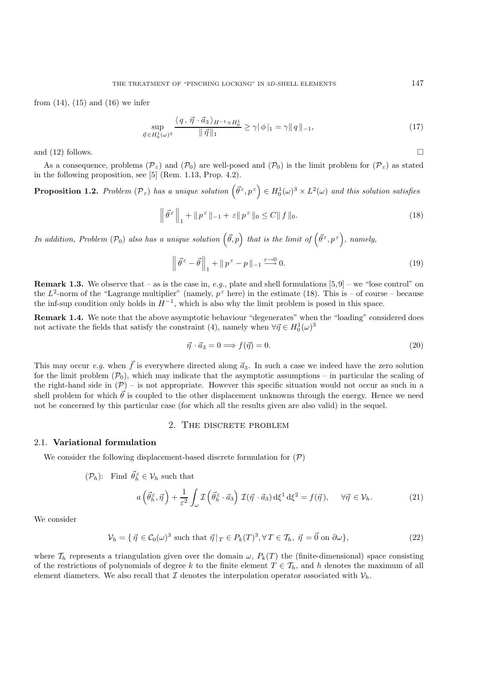from  $(14)$ ,  $(15)$  and  $(16)$  we infer

$$
\sup_{\vec{\eta} \in H_0^1(\omega)^3} \frac{\langle q, \vec{\eta} \cdot \vec{a}_3 \rangle_{H^{-1} \times H_0^1}}{\|\vec{\eta}\|_1} \ge \gamma |\phi|_1 = \gamma \|q\|_{-1},\tag{17}
$$

and (12) follows.  $\square$ 

As a consequence, problems  $(\mathcal{P}_{\varepsilon})$  and  $(\mathcal{P}_{0})$  are well-posed and  $(\mathcal{P}_{0})$  is the limit problem for  $(\mathcal{P}_{\varepsilon})$  as stated in the following proposition, see [5] (Rem. 1.13, Prop. 4.2).

**Proposition 1.2.** Problem  $(\mathcal{P}_{\varepsilon})$  has a unique solution  $(\vec{\theta}^{\varepsilon}, p^{\varepsilon}) \in H_0^1(\omega)^3 \times L^2(\omega)$  and this solution satisfies

$$
\left\|\vec{\theta}^{\varepsilon}\right\|_{1} + \left\|p^{\varepsilon}\right\|_{-1} + \varepsilon\|p^{\varepsilon}\|_{0} \le C\|f\|_{0}.\tag{18}
$$

*In addition, Problem*  $(\mathcal{P}_0)$  also has a unique solution  $(\vec{\theta}, p)$  that is the limit of  $(\vec{\theta}^{\,\varepsilon}, p^{\,\varepsilon})$ , namely,

$$
\left\| \vec{\theta}^{\varepsilon} - \vec{\theta} \right\|_{1} + \left\| p^{\varepsilon} - p \right\|_{1} \xrightarrow{\varepsilon \to 0} 0. \tag{19}
$$

**Remark 1.3.** We observe that – as is the case in, *e.g.*, plate and shell formulations  $[5,9]$  – we "lose control" on the  $L^2$ -norm of the "Lagrange multiplier" (namely,  $p^{\epsilon}$  here) in the estimate (18). This is – of course – because the inf-sup condition only holds in  $H^{-1}$ , which is also why the limit problem is posed in this space.

**Remark 1.4.** We note that the above asymptotic behaviour "degenerates" when the "loading" considered does not activate the fields that satisfy the constraint (4), namely when  $\forall \vec{\eta} \in H_0^1(\omega)^3$ 

$$
\vec{\eta} \cdot \vec{a}_3 = 0 \Longrightarrow f(\vec{\eta}) = 0. \tag{20}
$$

This may occur *e.g.* when  $\vec{f}$  is everywhere directed along  $\vec{a}_3$ . In such a case we indeed have the zero solution for the limit problem  $(\mathcal{P}_0)$ , which may indicate that the asymptotic assumptions – in particular the scaling of the right-hand side in  $(\mathcal{P})$  – is not appropriate. However this specific situation would not occur as such in a shell problem for which  $\vec{\theta}$  is coupled to the other displacement unknowns through the energy. Hence we need not be concerned by this particular case (for which all the results given are also valid) in the sequel.

## 2. The discrete problem

### 2.1. **Variational formulation**

We consider the following displacement-based discrete formulation for  $(\mathcal{P})$ 

 $(\mathcal{P}_h)$ : Find  $\vec{\theta}_h^{\varepsilon} \in \mathcal{V}_h$  such that

$$
a\left(\vec{\theta}_{h}^{\varepsilon},\vec{\eta}\right) + \frac{1}{\varepsilon^{2}} \int_{\omega} \mathcal{I}\left(\vec{\theta}_{h}^{\varepsilon} \cdot \vec{a}_{3}\right) \mathcal{I}(\vec{\eta} \cdot \vec{a}_{3}) d\xi^{1} d\xi^{2} = f(\vec{\eta}), \quad \forall \vec{\eta} \in \mathcal{V}_{h}.
$$
 (21)

We consider

$$
\mathcal{V}_h = \{ \vec{\eta} \in \mathcal{C}_0(\omega)^3 \text{ such that } \vec{\eta} \mid T \in P_k(T)^3, \forall T \in \mathcal{T}_h, \ \vec{\eta} = \vec{0} \text{ on } \partial \omega \},\tag{22}
$$

where  $\mathcal{T}_h$  represents a triangulation given over the domain  $\omega$ ,  $P_k(T)$  the (finite-dimensional) space consisting of the restrictions of polynomials of degree k to the finite element  $T \in \mathcal{T}_h$ , and h denotes the maximum of all element diameters. We also recall that  $\mathcal I$  denotes the interpolation operator associated with  $\mathcal V_h$ .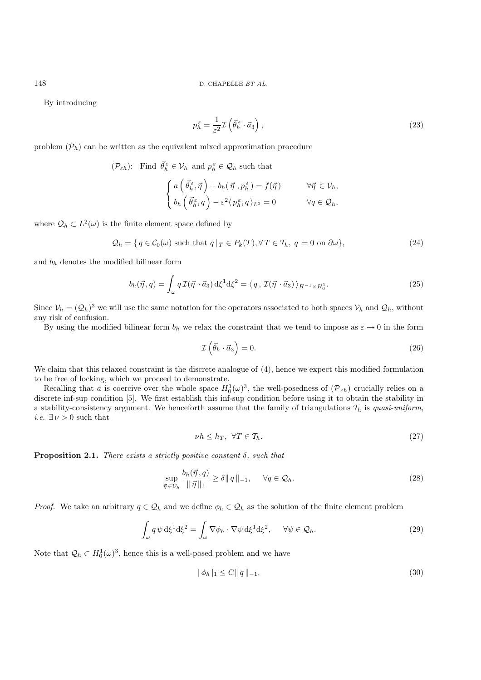By introducing

$$
p_h^{\varepsilon} = \frac{1}{\varepsilon^2} \mathcal{I} \left( \vec{\theta}_h^{\varepsilon} \cdot \vec{a}_3 \right), \tag{23}
$$

problem  $(\mathcal{P}_h)$  can be written as the equivalent mixed approximation procedure

$$
(\mathcal{P}_{\varepsilon h})\colon \text{ Find } \vec{\theta}_h^{\varepsilon} \in \mathcal{V}_h \text{ and } p_h^{\varepsilon} \in \mathcal{Q}_h \text{ such that}
$$

$$
\begin{cases} a\left(\vec{\theta}_h^{\varepsilon}, \vec{\eta}\right) + b_h(\vec{\eta}, p_h^{\varepsilon}) = f(\vec{\eta}) & \forall \vec{\eta} \in \mathcal{V}_h, \\ b_h\left(\vec{\theta}_h^{\varepsilon}, q\right) - \varepsilon^2 \langle p_h^{\varepsilon}, q \rangle_{L^2} = 0 & \forall q \in \mathcal{Q}_h, \end{cases}
$$

where  $\mathcal{Q}_h \subset L^2(\omega)$  is the finite element space defined by

$$
Q_h = \{ q \in C_0(\omega) \text{ such that } q \mid T \in P_k(T), \forall T \in T_h, q = 0 \text{ on } \partial \omega \},\tag{24}
$$

and  $b_h$  denotes the modified bilinear form

$$
b_h(\vec{\eta}, q) = \int_{\omega} q \mathcal{I}(\vec{\eta} \cdot \vec{a}_3) d\xi^1 d\xi^2 = \langle q, \mathcal{I}(\vec{\eta} \cdot \vec{a}_3) \rangle_{H^{-1} \times H_0^1}.
$$
 (25)

Since  $V_h = (Q_h)^3$  we will use the same notation for the operators associated to both spaces  $V_h$  and  $Q_h$ , without any risk of confusion.

By using the modified bilinear form  $b_h$  we relax the constraint that we tend to impose as  $\varepsilon \to 0$  in the form

$$
\mathcal{I}\left(\vec{\theta}_h \cdot \vec{a}_3\right) = 0. \tag{26}
$$

We claim that this relaxed constraint is the discrete analogue of  $(4)$ , hence we expect this modified formulation to be free of locking, which we proceed to demonstrate.

Recalling that a is coercive over the whole space  $H_0^1(\omega)^3$ , the well-posedness of  $(\mathcal{P}_{\varepsilon h})$  crucially relies on a discrete inf-sup condition [5]. We first establish this inf-sup condition before using it to obtain the stability in a stability-consistency argument. We henceforth assume that the family of triangulations  $\mathcal{T}_h$  is *quasi-uniform*, *i.e.*  $\exists \nu > 0$  such that

$$
\nu h \le h_T, \ \forall T \in \mathcal{T}_h. \tag{27}
$$

**Proposition 2.1.** *There exists a strictly positive constant* δ*, such that*

$$
\sup_{\vec{\eta} \in \mathcal{V}_h} \frac{b_h(\vec{\eta}, q)}{\|\vec{\eta}\|_1} \ge \delta \|q\|_{-1}, \quad \forall q \in \mathcal{Q}_h. \tag{28}
$$

*Proof.* We take an arbitrary  $q \in \mathcal{Q}_h$  and we define  $\phi_h \in \mathcal{Q}_h$  as the solution of the finite element problem

$$
\int_{\omega} q \psi \, d\xi^{1} d\xi^{2} = \int_{\omega} \nabla \phi_{h} \cdot \nabla \psi \, d\xi^{1} d\xi^{2}, \quad \forall \psi \in \mathcal{Q}_{h}.
$$
\n(29)

Note that  $\mathcal{Q}_h \subset H_0^1(\omega)^3$ , hence this is a well-posed problem and we have

$$
|\phi_h|_1 \le C ||q||_{-1}.
$$
\n(30)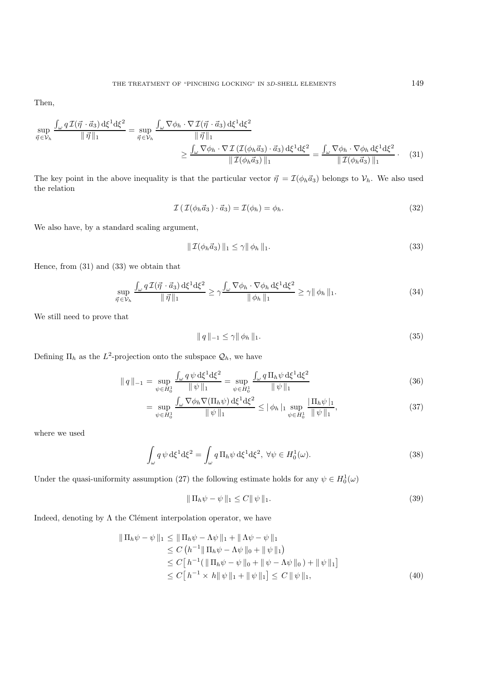Then,

$$
\sup_{\vec{\eta} \in \mathcal{V}_h} \frac{\int_{\omega} q \mathcal{I}(\vec{\eta} \cdot \vec{a}_3) d\xi^1 d\xi^2}{\|\vec{\eta}\|_1} = \sup_{\vec{\eta} \in \mathcal{V}_h} \frac{\int_{\omega} \nabla \phi_h \cdot \nabla \mathcal{I}(\vec{\eta} \cdot \vec{a}_3) d\xi^1 d\xi^2}{\|\vec{\eta}\|_1}
$$

$$
\geq \frac{\int_{\omega} \nabla \phi_h \cdot \nabla \mathcal{I}(\mathcal{I}(\phi_h \vec{a}_3) \cdot \vec{a}_3) d\xi^1 d\xi^2}{\|\mathcal{I}(\phi_h \vec{a}_3)\|_1} = \frac{\int_{\omega} \nabla \phi_h \cdot \nabla \phi_h d\xi^1 d\xi^2}{\|\mathcal{I}(\phi_h \vec{a}_3)\|_1}.
$$
 (31)

The key point in the above inequality is that the particular vector  $\vec{\eta} = \mathcal{I}(\phi_h \vec{a}_3)$  belongs to  $\mathcal{V}_h$ . We also used the relation

$$
\mathcal{I}(\mathcal{I}(\phi_h \vec{a}_3) \cdot \vec{a}_3) = \mathcal{I}(\phi_h) = \phi_h.
$$
\n(32)

We also have, by a standard scaling argument,

$$
\|\mathcal{I}(\phi_h \vec{a}_3)\|_1 \le \gamma \|\phi_h\|_1. \tag{33}
$$

Hence, from (31) and (33) we obtain that

$$
\sup_{\vec{\eta} \in \mathcal{V}_h} \frac{\int_{\omega} q \mathcal{I}(\vec{\eta} \cdot \vec{a}_3) d\xi^1 d\xi^2}{\|\vec{\eta}\|_1} \ge \gamma \frac{\int_{\omega} \nabla \phi_h \cdot \nabla \phi_h d\xi^1 d\xi^2}{\|\phi_h\|_1} \ge \gamma \|\phi_h\|_1.
$$
 (34)

We still need to prove that

$$
\|q\|_{-1} \le \gamma \|\phi_h\|_1. \tag{35}
$$

Defining  $\Pi_h$  as the  $L^2$ -projection onto the subspace  $\mathcal{Q}_h$ , we have

$$
\|q\|_{-1} = \sup_{\psi \in H_0^1} \frac{\int_{\omega} q \psi \, d\xi^1 d\xi^2}{\|\psi\|_1} = \sup_{\psi \in H_0^1} \frac{\int_{\omega} q \, \Pi_h \psi \, d\xi^1 d\xi^2}{\|\psi\|_1}
$$
(36)

$$
= \sup_{\psi \in H_0^1} \frac{\int_{\omega} \nabla \phi_h \nabla (\Pi_h \psi) \, d\xi^1 d\xi^2}{\|\psi\|_1} \leq |\phi_h|_1 \sup_{\psi \in H_0^1} \frac{|\Pi_h \psi|_1}{\|\psi\|_1},\tag{37}
$$

where we used

$$
\int_{\omega} q \psi \, d\xi^1 d\xi^2 = \int_{\omega} q \, \Pi_h \psi \, d\xi^1 d\xi^2, \ \forall \psi \in H_0^1(\omega).
$$
\n(38)

Under the quasi-uniformity assumption (27) the following estimate holds for any  $\psi \in H_0^1(\omega)$ 

$$
\|\Pi_h \psi - \psi\|_1 \le C \|\psi\|_1. \tag{39}
$$

Indeed, denoting by  $\Lambda$  the Clément interpolation operator, we have

$$
\|\Pi_h \psi - \psi\|_1 \le \|\Pi_h \psi - \Lambda \psi\|_1 + \|\Lambda \psi - \psi\|_1
$$
  
\n
$$
\le C \left( h^{-1} \|\Pi_h \psi - \Lambda \psi\|_0 + \|\psi\|_1 \right)
$$
  
\n
$$
\le C \left[ h^{-1} (\|\Pi_h \psi - \psi\|_0 + \|\psi - \Lambda \psi\|_0) + \|\psi\|_1 \right]
$$
  
\n
$$
\le C \left[ h^{-1} \times h \|\psi\|_1 + \|\psi\|_1 \right] \le C \|\psi\|_1,
$$
\n(40)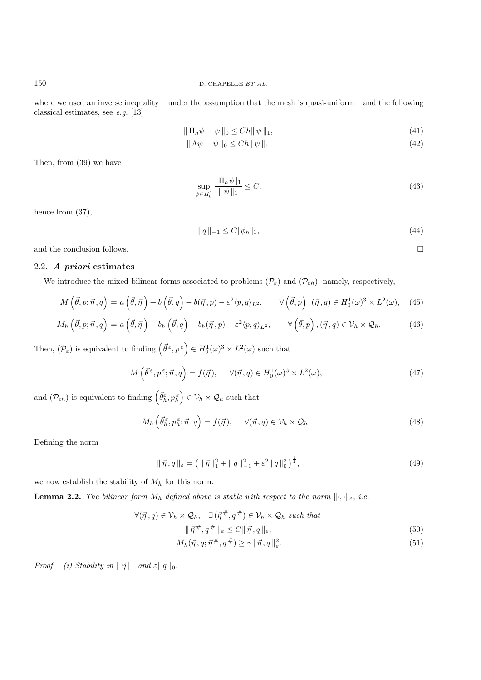where we used an inverse inequality – under the assumption that the mesh is quasi-uniform – and the following classical estimates, see *e.g.* [13]

$$
\|\Pi_h \psi - \psi\|_0 \le Ch \|\psi\|_1,\tag{41}
$$

$$
\|\Lambda\psi - \psi\|_0 \le Ch \|\psi\|_1. \tag{42}
$$

Then, from (39) we have

$$
\sup_{\psi \in H_0^1} \frac{\|\Pi_h \psi\|_1}{\|\psi\|_1} \le C,\tag{43}
$$

hence from  $(37)$ ,

$$
\|q\|_{-1} \le C\|\phi_h\|_1,\tag{44}
$$

and the conclusion follows.  $\Box$ 

### 2.2. *A priori* **estimates**

We introduce the mixed bilinear forms associated to problems  $(\mathcal{P}_{\varepsilon})$  and  $(\mathcal{P}_{\varepsilon h})$ , namely, respectively,

$$
M\left(\vec{\theta},p;\vec{\eta},q\right) = a\left(\vec{\theta},\vec{\eta}\right) + b\left(\vec{\theta},q\right) + b(\vec{\eta},p) - \varepsilon^2 \langle p,q\rangle_{L^2}, \qquad \forall \left(\vec{\theta},p\right), \left(\vec{\eta},q\right) \in H_0^1(\omega)^3 \times L^2(\omega), \tag{45}
$$

$$
M_h\left(\vec{\theta},p;\vec{\eta},q\right) = a\left(\vec{\theta},\vec{\eta}\right) + b_h\left(\vec{\theta},q\right) + b_h(\vec{\eta},p) - \varepsilon^2 \langle p,q\rangle_{L^2}, \qquad \forall \left(\vec{\theta},p\right), \left(\vec{\eta},q\right) \in \mathcal{V}_h \times \mathcal{Q}_h. \tag{46}
$$

Then,  $(\mathcal{P}_{\varepsilon})$  is equivalent to finding  $(\vec{\theta}^{\,\varepsilon}, p^{\,\varepsilon}) \in H_0^1(\omega)^3 \times L^2(\omega)$  such that

$$
M\left(\vec{\theta}^{\,\varepsilon}, p^{\,\varepsilon}; \vec{\eta}, q\right) = f(\vec{\eta}), \quad \forall (\vec{\eta}, q) \in H_0^1(\omega)^3 \times L^2(\omega), \tag{47}
$$

and  $(\mathcal{P}_{\varepsilon h})$  is equivalent to finding  $(\vec{\theta}_h^{\varepsilon}, p_h^{\varepsilon}) \in \mathcal{V}_h \times \mathcal{Q}_h$  such that

$$
M_h\left(\vec{\theta}_h^{\varepsilon}, p_h^{\varepsilon}; \vec{\eta}, q\right) = f(\vec{\eta}), \quad \forall (\vec{\eta}, q) \in \mathcal{V}_h \times \mathcal{Q}_h.
$$
\n(48)

Defining the norm

$$
\|\vec{\eta}, q\|_{\varepsilon} = \left( \|\vec{\eta}\|_{1}^{2} + \|q\|_{-1}^{2} + \varepsilon^{2} \|q\|_{0}^{2} \right)^{\frac{1}{2}},\tag{49}
$$

we now establish the stability of  $M_h$  for this norm.

**Lemma 2.2.** *The bilinear form*  $M_h$  *defined above is stable with respect to the norm*  $\|\cdot,\cdot\|_{\varepsilon}$ *, i.e.* 

$$
\forall (\vec{\eta}, q) \in \mathcal{V}_h \times \mathcal{Q}_h, \quad \exists (\vec{\eta}^{\#}, q^{\#}) \in \mathcal{V}_h \times \mathcal{Q}_h \text{ such that}
$$

$$
\|\vec{\eta}^{\#}, q^{\#}\|_{\varepsilon} \le C \|\vec{\eta}, q\|_{\varepsilon}, \tag{50}
$$

$$
M_h(\vec{\eta}, q; \vec{\eta}^{\#}, q^{\#}) \ge \gamma \|\vec{\eta}, q\|_{\varepsilon}^2. \tag{51}
$$

*Proof.* (i) Stability in  $|| \vec{\eta} ||_1$  and  $\varepsilon || q ||_0$ .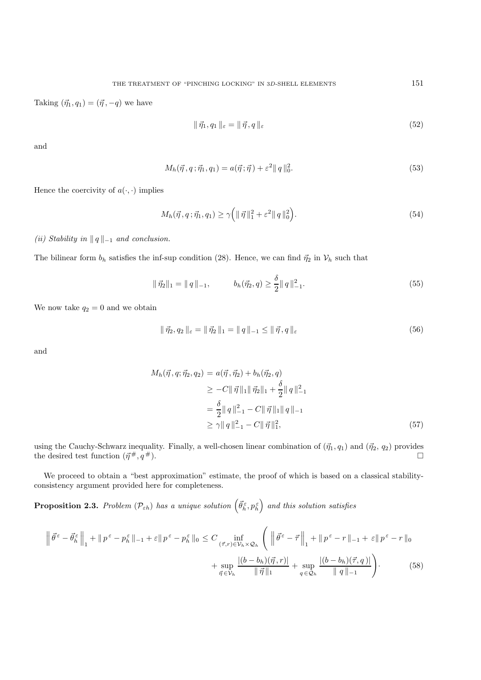Taking  $(\vec{\eta}_1, q_1)=(\vec{\eta}, -q)$  we have

$$
\|\vec{\eta}_1, q_1\|_{\varepsilon} = \|\vec{\eta}, q\|_{\varepsilon} \tag{52}
$$

and

$$
M_h(\vec{\eta}, q; \vec{\eta}_1, q_1) = a(\vec{\eta}; \vec{\eta}) + \varepsilon^2 \|q\|_0^2.
$$
\n(53)

Hence the coercivity of  $a(\cdot, \cdot)$  implies

$$
M_h(\vec{\eta}, q; \vec{\eta}_1, q_1) \ge \gamma \left( \| \vec{\eta} \|_{1}^{2} + \varepsilon^{2} \| q \|_{0}^{2} \right).
$$
 (54)

*(ii) Stability in*  $||q||_{-1}$  *and conclusion.* 

The bilinear form  $b_h$  satisfies the inf-sup condition (28). Hence, we can find  $\vec{\eta}_2$  in  $\mathcal{V}_h$  such that

$$
\|\vec{\eta}_2\|_1 = \|q\|_{-1}, \qquad b_h(\vec{\eta}_2, q) \ge \frac{\delta}{2} \|q\|_{-1}^2. \tag{55}
$$

We now take  $q_2 = 0$  and we obtain

$$
\|\vec{\eta}_2, q_2\|_{\varepsilon} = \|\vec{\eta}_2\|_1 = \|q\|_{-1} \le \|\vec{\eta}, q\|_{\varepsilon}
$$
\n(56)

and

$$
M_h(\vec{\eta}, q; \vec{\eta}_2, q_2) = a(\vec{\eta}, \vec{\eta}_2) + b_h(\vec{\eta}_2, q)
$$
  
\n
$$
\geq -C \|\vec{\eta}\|_1 \|\vec{\eta}_2\|_1 + \frac{\delta}{2} \|q\|_{-1}^2
$$
  
\n
$$
= \frac{\delta}{2} \|q\|_{-1}^2 - C \|\vec{\eta}\|_1 \|q\|_{-1}
$$
  
\n
$$
\geq \gamma \|q\|_{-1}^2 - C \|\vec{\eta}\|_1^2,
$$
\n(57)

using the Cauchy-Schwarz inequality. Finally, a well-chosen linear combination of  $(\vec{\eta}_1, q_1)$  and  $(\vec{\eta}_2, q_2)$  provides the desired test function  $(\vec{\eta}^{\#}, q^{\#})$ .

We proceed to obtain a "best approximation" estimate, the proof of which is based on a classical stabilityconsistency argument provided here for completeness.

**Proposition 2.3.** Problem  $(\mathcal{P}_{\varepsilon h})$  has a unique solution  $(\vec{\theta}_h^{\varepsilon}, p_h^{\varepsilon})$  and this solution satisfies

$$
\left\| \vec{\theta}^{\varepsilon} - \vec{\theta}_{h}^{\varepsilon} \right\|_{1} + \left\| p^{\varepsilon} - p_{h}^{\varepsilon} \right\|_{-1} + \varepsilon \left\| p^{\varepsilon} - p_{h}^{\varepsilon} \right\|_{0} \leq C \inf_{\left(\vec{\tau}, r\right) \in \mathcal{V}_{h} \times \mathcal{Q}_{h}} \left( \left\| \vec{\theta}^{\varepsilon} - \vec{\tau} \right\|_{1} + \left\| p^{\varepsilon} - r \right\|_{-1} + \varepsilon \left\| p^{\varepsilon} - r \right\|_{0} + \sup_{\vec{\eta} \in \mathcal{V}_{h}} \frac{\left| (b - b_{h})(\vec{\eta}, r) \right|}{\|\vec{\eta}\|_{1}} + \sup_{q \in \mathcal{Q}_{h}} \frac{\left| (b - b_{h})(\vec{\tau}, q) \right|}{\|q\|_{-1}} \right). \tag{58}
$$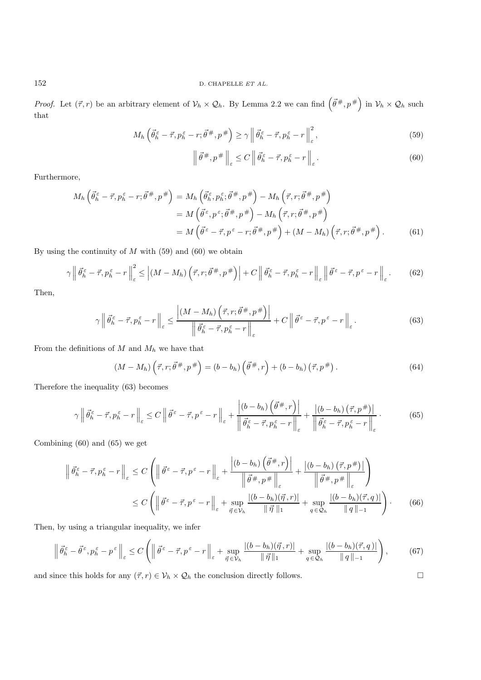*Proof.* Let  $(\vec{\tau},r)$  be an arbitrary element of  $\mathcal{V}_h \times \mathcal{Q}_h$ . By Lemma 2.2 we can find  $(\vec{\theta}^{\#},p^{\#})$  in  $\mathcal{V}_h \times \mathcal{Q}_h$  such that

$$
M_h\left(\vec{\theta}_h^{\varepsilon} - \vec{\tau}, p_h^{\varepsilon} - r; \vec{\theta}^{\#}, p^{\#}\right) \ge \gamma \left\|\vec{\theta}_h^{\varepsilon} - \vec{\tau}, p_h^{\varepsilon} - r\right\|_{\varepsilon}^2, \tag{59}
$$

$$
\left\| \vec{\theta}^{\#}, p^{\#} \right\|_{\varepsilon} \le C \left\| \vec{\theta}_h^{\varepsilon} - \vec{\tau}, p_h^{\varepsilon} - r \right\|_{\varepsilon}.
$$
\n
$$
(60)
$$

Furthermore,

$$
M_h\left(\vec{\theta}_h^{\varepsilon} - \vec{\tau}, p_h^{\varepsilon} - r; \vec{\theta}^{\#}, p^{\#}\right) = M_h\left(\vec{\theta}_h^{\varepsilon}, p_h^{\varepsilon}; \vec{\theta}^{\#}, p^{\#}\right) - M_h\left(\vec{\tau}, r; \vec{\theta}^{\#}, p^{\#}\right)
$$
  

$$
= M\left(\vec{\theta}^{\varepsilon}, p^{\varepsilon}; \vec{\theta}^{\#}, p^{\#}\right) - M_h\left(\vec{\tau}, r; \vec{\theta}^{\#}, p^{\#}\right)
$$
  

$$
= M\left(\vec{\theta}^{\varepsilon} - \vec{\tau}, p^{\varepsilon} - r; \vec{\theta}^{\#}, p^{\#}\right) + (M - M_h)\left(\vec{\tau}, r; \vec{\theta}^{\#}, p^{\#}\right).
$$
 (61)

By using the continuity of  $M$  with (59) and (60) we obtain

$$
\gamma \left\| \vec{\theta}_{h}^{\varepsilon} - \vec{\tau}, p_{h}^{\varepsilon} - r \right\|_{\varepsilon}^{2} \leq \left| (M - M_{h}) \left( \vec{\tau}, r; \vec{\theta}^{\#}, p^{\#} \right) \right| + C \left\| \vec{\theta}_{h}^{\varepsilon} - \vec{\tau}, p_{h}^{\varepsilon} - r \right\|_{\varepsilon} \left\| \vec{\theta}^{\varepsilon} - \vec{\tau}, p^{\varepsilon} - r \right\|_{\varepsilon}.
$$
 (62)

Then,

$$
\gamma \left\| \vec{\theta}_{h}^{\varepsilon} - \vec{\tau}, p_{h}^{\varepsilon} - r \right\|_{\varepsilon} \le \frac{\left| (M - M_{h}) \left( \vec{\tau}, r; \vec{\theta}^{\#}, p^{\#} \right) \right|}{\left\| \vec{\theta}_{h}^{\varepsilon} - \vec{\tau}, p_{h}^{\varepsilon} - r \right\|_{\varepsilon}} + C \left\| \vec{\theta}^{\varepsilon} - \vec{\tau}, p^{\varepsilon} - r \right\|_{\varepsilon}.
$$
\n(63)

From the definitions of  $M$  and  $M_h$  we have that

$$
(M - M_h) \left(\vec{\tau}, r; \vec{\theta}^{\#}, p^{\#}\right) = (b - b_h) \left(\vec{\theta}^{\#}, r\right) + (b - b_h) \left(\vec{\tau}, p^{\#}\right). \tag{64}
$$

Therefore the inequality (63) becomes

$$
\gamma \left\| \vec{\theta}_{h}^{\varepsilon} - \vec{\tau}, p_{h}^{\varepsilon} - r \right\|_{\varepsilon} \leq C \left\| \vec{\theta}^{\varepsilon} - \vec{\tau}, p^{\varepsilon} - r \right\|_{\varepsilon} + \frac{\left| (b - b_{h}) \left( \vec{\theta}^{\#}, r \right) \right|}{\left\| \vec{\theta}_{h}^{\varepsilon} - \vec{\tau}, p_{h}^{\varepsilon} - r \right\|_{\varepsilon}} + \frac{\left| (b - b_{h}) \left( \vec{\tau}, p^{\#} \right) \right|}{\left\| \vec{\theta}_{h}^{\varepsilon} - \vec{\tau}, p_{h}^{\varepsilon} - r \right\|_{\varepsilon}} \,. \tag{65}
$$

Combining (60) and (65) we get

$$
\left\| \vec{\theta}_{h}^{\varepsilon} - \vec{\tau}, p_{h}^{\varepsilon} - r \right\|_{\varepsilon} \leq C \left( \left\| \vec{\theta}^{\varepsilon} - \vec{\tau}, p^{\varepsilon} - r \right\|_{\varepsilon} + \frac{\left| (b - b_{h}) \left( \vec{\theta}^{\#}, r \right) \right|}{\left\| \vec{\theta}^{\#}, p^{\#} \right\|_{\varepsilon}} + \frac{\left| (b - b_{h}) \left( \vec{\tau}, p^{\#} \right) \right|}{\left\| \vec{\theta}^{\#}, p^{\#} \right\|_{\varepsilon}} \right)
$$
  

$$
\leq C \left( \left\| \vec{\theta}^{\varepsilon} - \vec{\tau}, p^{\varepsilon} - r \right\|_{\varepsilon} + \sup_{\vec{\eta} \in \mathcal{V}_{h}} \frac{\left| (b - b_{h}) (\vec{\eta}, r) \right|}{\left\| \vec{\eta} \right\|_{1}} + \sup_{q \in \mathcal{Q}_{h}} \frac{\left| (b - b_{h}) (\vec{\tau}, q) \right|}{\left\| q \right\|_{-1}} \right). \tag{66}
$$

Then, by using a triangular inequality, we infer

$$
\left\| \vec{\theta}_h^{\varepsilon} - \vec{\theta}^{\varepsilon}, p_h^{\varepsilon} - p^{\varepsilon} \right\|_{\varepsilon} \le C \left( \left\| \vec{\theta}^{\varepsilon} - \vec{\tau}, p^{\varepsilon} - r \right\|_{\varepsilon} + \sup_{\vec{\eta} \in \mathcal{V}_h} \frac{|(b - b_h)(\vec{\eta}, r)|}{\|\vec{\eta}\|_1} + \sup_{q \in \mathcal{Q}_h} \frac{|(b - b_h)(\vec{\tau}, q)|}{\|q\|_{-1}} \right),\tag{67}
$$

and since this holds for any  $(\vec{\tau},r) \in \mathcal{V}_h \times \mathcal{Q}_h$  the conclusion directly follows.

$$
\Box
$$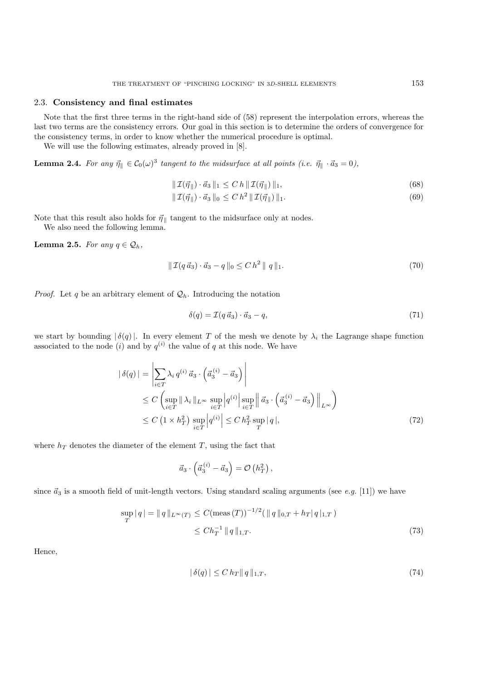### 2.3. **Consistency and final estimates**

Note that the first three terms in the right-hand side of (58) represent the interpolation errors, whereas the last two terms are the consistency errors. Our goal in this section is to determine the orders of convergence for the consistency terms, in order to know whether the numerical procedure is optimal.

We will use the following estimates, already proved in [8].

**Lemma 2.4.** *For any*  $\vec{\eta}$   $\in C_0(\omega)^3$  *tangent to the midsurface at all points (i.e.*  $\vec{\eta}$   $\cdot$   $\vec{a}_3 = 0$ ),

$$
\|\mathcal{I}(\vec{\eta}_{\parallel}) \cdot \vec{a}_3\|_1 \le C h \|\mathcal{I}(\vec{\eta}_{\parallel})\|_1, \tag{68}
$$

$$
\|\mathcal{I}(\vec{\eta}_{\parallel}) \cdot \vec{a}_3\|_0 \le C h^2 \|\mathcal{I}(\vec{\eta}_{\parallel})\|_1. \tag{69}
$$

Note that this result also holds for  $\vec{\eta}_{\, \parallel}$  tangent to the midsurface only at nodes. We also need the following lemma.

**Lemma 2.5.** *For any*  $q \in Q_h$ ,

$$
\|\mathcal{I}(q\,\vec{a}_3)\cdot\vec{a}_3 - q\|_0 \le C\,h^2\,\|\,q\,\|_1. \tag{70}
$$

*Proof.* Let q be an arbitrary element of  $\mathcal{Q}_h$ . Introducing the notation

$$
\delta(q) = \mathcal{I}(q \, \vec{a}_3) \cdot \vec{a}_3 - q,\tag{71}
$$

we start by bounding  $|\delta(q)|$ . In every element T of the mesh we denote by  $\lambda_i$  the Lagrange shape function associated to the node  $(i)$  and by  $q^{(i)}$  the value of q at this node. We have

$$
\begin{aligned} \left| \delta(q) \right| &= \left| \sum_{i \in T} \lambda_i \, q^{(i)} \, \vec{a}_3 \cdot \left( \vec{a}_3^{(i)} - \vec{a}_3 \right) \right| \\ &\leq C \left( \sup_{i \in T} \left\| \lambda_i \right\|_{L^\infty} \sup_{i \in T} \left| q^{(i)} \right| \sup_{i \in T} \left\| \vec{a}_3 \cdot \left( \vec{a}_3^{(i)} - \vec{a}_3 \right) \right\|_{L^\infty} \right) \\ &\leq C \left( 1 \times h_T^2 \right) \sup_{i \in T} \left| q^{(i)} \right| \leq C \, h_T^2 \sup_T \left| q \right|, \end{aligned} \tag{72}
$$

where  $h_T$  denotes the diameter of the element T, using the fact that

$$
\vec{a}_3 \cdot \left( \vec{a}_3^{\,(i)} - \vec{a}_3 \right) = \mathcal{O} \left( h_T^2 \right),
$$

since  $\vec{a}_3$  is a smooth field of unit-length vectors. Using standard scaling arguments (see *e.g.* [11]) we have

$$
\sup_{T} |q| = ||q||_{L^{\infty}(T)} \le C(\text{meas}(T))^{-1/2} (||q||_{0,T} + h_T |q|_{1,T})
$$
  

$$
\le C h_T^{-1} ||q||_{1,T}.
$$
 (73)

Hence,

$$
|\delta(q)| \le C h_T ||q||_{1,T},\tag{74}
$$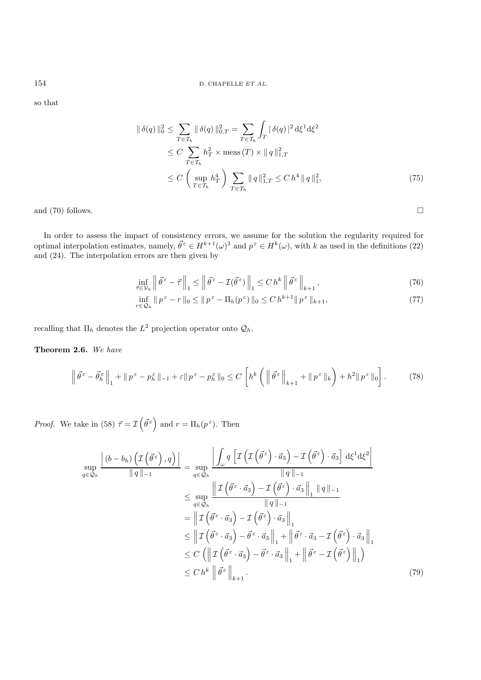so that

$$
\|\delta(q)\|_{0}^{2} \leq \sum_{T \in \mathcal{T}_{h}} \|\delta(q)\|_{0,T}^{2} = \sum_{T \in \mathcal{T}_{h}} \int_{T} |\delta(q)|^{2} d\xi^{1} d\xi^{2}
$$
  
\n
$$
\leq C \sum_{T \in \mathcal{T}_{h}} h_{T}^{2} \times \text{meas}(T) \times \|q\|_{1,T}^{2}
$$
  
\n
$$
\leq C \left(\sup_{T \in \mathcal{T}_{h}} h_{T}^{4}\right) \sum_{T \in \mathcal{T}_{h}} \|q\|_{1,T}^{2} \leq C h^{4} \|q\|_{1}^{2}, \tag{75}
$$

and (70) follows.  $\Box$ 

In order to assess the impact of consistency errors, we assume for the solution the regularity required for optimal interpolation estimates, namely,  $\vec{\theta}^{\varepsilon} \in H^{k+1}(\omega)^3$  and  $p^{\varepsilon} \in H^k(\omega)$ , with k as used in the definitions (22) and (24). The interpolation errors are then given by

$$
\inf_{\vec{\tau} \in \mathcal{V}_h} \left\| \vec{\theta}^{\varepsilon} - \vec{\tau} \right\|_1 \le \left\| \vec{\theta}^{\varepsilon} - \mathcal{I}(\vec{\theta}^{\varepsilon}) \right\|_1 \le C \, h^k \left\| \vec{\theta}^{\varepsilon} \right\|_{k+1},\tag{76}
$$

$$
\inf_{r \in \mathcal{Q}_h} \|p^{\varepsilon} - r\|_0 \le \|p^{\varepsilon} - \Pi_h(p^{\varepsilon})\|_0 \le C h^{k+1} \|p^{\varepsilon}\|_{k+1},\tag{77}
$$

recalling that  $\Pi_h$  denotes the  $L^2$  projection operator onto  $\mathcal{Q}_h.$ 

**Theorem 2.6.** *We have*

$$
\left\|\vec{\theta}^{\varepsilon}-\vec{\theta}_{h}^{\varepsilon}\right\|_{1}+\|p^{\varepsilon}-p_{h}^{\varepsilon}\|_{-1}+\varepsilon\|p^{\varepsilon}-p_{h}^{\varepsilon}\|_{0}\leq C\left[h^{k}\left(\left\|\vec{\theta}^{\varepsilon}\right\|_{k+1}+\|p^{\varepsilon}\|_{k}\right)+h^{2}\|p^{\varepsilon}\|_{0}\right].
$$
 (78)

*Proof.* We take in (58)  $\vec{\tau} = \mathcal{I}(\vec{\theta}^{\,\varepsilon})$  and  $r = \Pi_h(p^{\,\varepsilon})$ . Then

$$
\sup_{q\in\mathcal{Q}_h} \frac{\left|(b-b_h)\left(\mathcal{I}\left(\vec{\theta}^{\varepsilon}\right),q\right)\right|}{\|q\|_{-1}} = \sup_{q\in\mathcal{Q}_h} \frac{\left|\int_{\omega} q\left[\mathcal{I}\left(\mathcal{I}\left(\vec{\theta}^{\varepsilon}\right)\cdot\vec{a}_3\right) - \mathcal{I}\left(\vec{\theta}^{\varepsilon}\right)\cdot\vec{a}_3\right]\,d\xi^1 d\xi^2\right|}{\|q\|_{-1}}
$$
\n
$$
\leq \sup_{q\in\mathcal{Q}_h} \frac{\left|\mathcal{I}\left(\vec{\theta}^{\varepsilon}\cdot\vec{a}_3\right) - \mathcal{I}\left(\vec{\theta}^{\varepsilon}\right)\cdot\vec{a}_3\right\|_{1} \|q\|_{-1}}{\|q\|_{-1}}
$$
\n
$$
= \left\|\mathcal{I}\left(\vec{\theta}^{\varepsilon}\cdot\vec{a}_3\right) - \mathcal{I}\left(\vec{\theta}^{\varepsilon}\right)\cdot\vec{a}_3\right\|_{1}
$$
\n
$$
\leq \left\|\mathcal{I}\left(\vec{\theta}^{\varepsilon}\cdot\vec{a}_3\right) - \vec{\theta}^{\varepsilon}\cdot\vec{a}_3\right\|_{1} + \left\|\vec{\theta}^{\varepsilon}\cdot\vec{a}_3 - \mathcal{I}\left(\vec{\theta}^{\varepsilon}\right)\cdot\vec{a}_3\right\|_{1}
$$
\n
$$
\leq C\left(\left\|\mathcal{I}\left(\vec{\theta}^{\varepsilon}\cdot\vec{a}_3\right) - \vec{\theta}^{\varepsilon}\cdot\vec{a}_3\right\|_{1} + \left\|\vec{\theta}^{\varepsilon}\right| - \mathcal{I}\left(\vec{\theta}^{\varepsilon}\right)\right\|_{1}\right)
$$
\n
$$
\leq C\,h^k \left\|\vec{\theta}^{\varepsilon}\right\|_{k+1}.
$$
\n(79)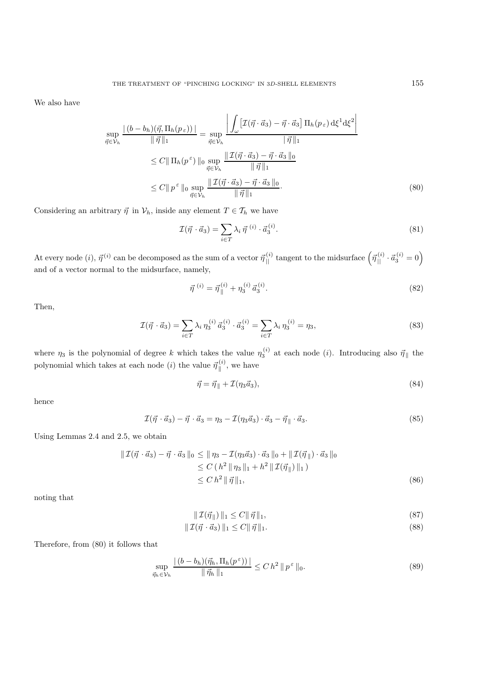We also have

$$
\sup_{\vec{\eta}\in\mathcal{V}_h} \frac{\left| (b-b_h)(\vec{\eta}, \Pi_h(p_\varepsilon)) \right|}{\|\vec{\eta}\|_1} = \sup_{\vec{\eta}\in\mathcal{V}_h} \frac{\left| \int_{\omega} \left[ \mathcal{I}(\vec{\eta}\cdot\vec{a}_3) - \vec{\eta}\cdot\vec{a}_3 \right] \Pi_h(p_\varepsilon) d\xi^1 d\xi^2 \right|}{\|\vec{\eta}\|_1}
$$
  

$$
\leq C \|\Pi_h(p^\varepsilon)\|_0 \sup_{\vec{\eta}\in\mathcal{V}_h} \frac{\|\mathcal{I}(\vec{\eta}\cdot\vec{a}_3) - \vec{\eta}\cdot\vec{a}_3\|_0}{\|\vec{\eta}\|_1}
$$
  

$$
\leq C \|\overline{p}^\varepsilon\|_0 \sup_{\vec{\eta}\in\mathcal{V}_h} \frac{\|\mathcal{I}(\vec{\eta}\cdot\vec{a}_3) - \vec{\eta}\cdot\vec{a}_3\|_0}{\|\vec{\eta}\|_1}.
$$
 (80)

Considering an arbitrary  $\vec{\eta}$  in  $\mathcal{V}_h$ , inside any element  $T \in \mathcal{T}_h$  we have

$$
\mathcal{I}(\vec{\eta} \cdot \vec{a}_3) = \sum_{i \in T} \lambda_i \,\vec{\eta} \,^{(i)} \cdot \vec{a}_3^{(i)}.\tag{81}
$$

At every node  $(i)$ ,  $\vec{\eta}^{(i)}$  can be decomposed as the sum of a vector  $\vec{\eta}_{\parallel}^{(i)}$  tangent to the midsurface  $(\vec{\eta}_{\parallel}^{(i)} \cdot \vec{a}_3^{(i)} = 0)$ and of a vector normal to the midsurface, namely,

$$
\vec{\eta}^{(i)} = \vec{\eta}_{\parallel}^{(i)} + \eta_3^{(i)} \vec{a}_3^{(i)}.
$$
\n(82)

Then,

$$
\mathcal{I}(\vec{\eta} \cdot \vec{a}_3) = \sum_{i \in T} \lambda_i \,\eta_3^{(i)} \,\vec{a}_3^{(i)} \cdot \vec{a}_3^{(i)} = \sum_{i \in T} \lambda_i \,\eta_3^{(i)} = \eta_3,\tag{83}
$$

where  $\eta_3$  is the polynomial of degree k which takes the value  $\eta_3^{(i)}$  at each node (i). Introducing also  $\vec{\eta}_{\parallel}$  the polynomial which takes at each node  $(i)$  the value  $\vec{\eta}_{\parallel}^{(i)}$ , we have

$$
\vec{\eta} = \vec{\eta}_{\parallel} + \mathcal{I}(\eta_3 \vec{a}_3),\tag{84}
$$

hence

$$
\mathcal{I}(\vec{\eta} \cdot \vec{a}_3) - \vec{\eta} \cdot \vec{a}_3 = \eta_3 - \mathcal{I}(\eta_3 \vec{a}_3) \cdot \vec{a}_3 - \vec{\eta}_{\parallel} \cdot \vec{a}_3. \tag{85}
$$

Using Lemmas 2.4 and 2.5, we obtain

$$
\begin{aligned} \|\mathcal{I}(\vec{\eta} \cdot \vec{a}_3) - \vec{\eta} \cdot \vec{a}_3 \|_{0} &\leq \|\eta_3 - \mathcal{I}(\eta_3 \vec{a}_3) \cdot \vec{a}_3 \|_{0} + \|\mathcal{I}(\vec{\eta} \|) \cdot \vec{a}_3 \|_{0} \\ &\leq C \left( h^2 \|\eta_3\|_1 + h^2 \|\mathcal{I}(\vec{\eta} \|) \|_{1} \right) \\ &\leq C \, h^2 \|\vec{\eta} \|_{1}, \end{aligned} \tag{86}
$$

noting that

$$
\|\mathcal{I}(\vec{\eta}_{\parallel})\|_{1} \le C \|\vec{\eta}\|_{1},\tag{87}
$$

$$
\|\mathcal{I}(\vec{\eta} \cdot \vec{a}_3)\|_1 \le C \|\vec{\eta}\|_1. \tag{88}
$$

Therefore, from (80) it follows that

$$
\sup_{\vec{\eta}_h \in \mathcal{V}_h} \frac{\left| \left( b - b_h \right) (\vec{\eta}_h, \Pi_h(p^{\varepsilon})) \right|}{\|\vec{\eta}_h\|_1} \le C \, h^2 \, \|p^{\varepsilon}\|_0. \tag{89}
$$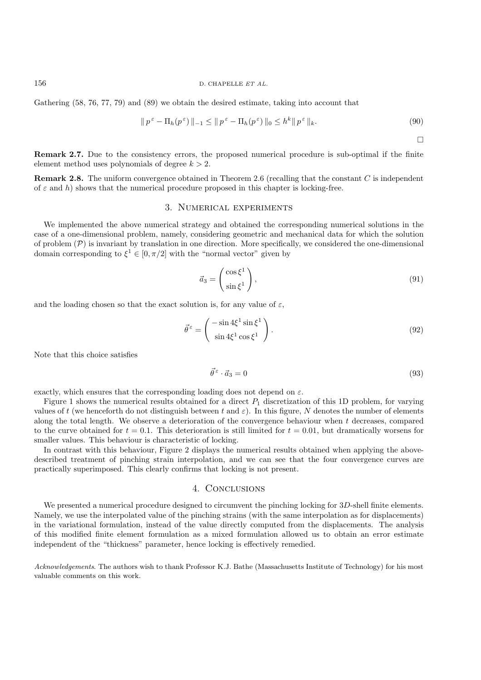#### 156 D. CHAPELLE *ET AL.*

Gathering (58, 76, 77, 79) and (89) we obtain the desired estimate, taking into account that

$$
\|p^{\varepsilon} - \Pi_h(p^{\varepsilon})\|_{-1} \le \|p^{\varepsilon} - \Pi_h(p^{\varepsilon})\|_0 \le h^k \|p^{\varepsilon}\|_k. \tag{90}
$$

 $\Box$ 

**Remark 2.7.** Due to the consistency errors, the proposed numerical procedure is sub-optimal if the finite element method uses polynomials of degree  $k > 2$ .

**Remark 2.8.** The uniform convergence obtained in Theorem 2.6 (recalling that the constant C is independent of  $\varepsilon$  and h) shows that the numerical procedure proposed in this chapter is locking-free.

## 3. Numerical experiments

We implemented the above numerical strategy and obtained the corresponding numerical solutions in the case of a one-dimensional problem, namely, considering geometric and mechanical data for which the solution of problem  $(\mathcal{P})$  is invariant by translation in one direction. More specifically, we considered the one-dimensional domain corresponding to  $\xi^1 \in [0, \pi/2]$  with the "normal vector" given by

$$
\vec{a}_3 = \begin{pmatrix} \cos \xi^1 \\ \sin \xi^1 \end{pmatrix},\tag{91}
$$

and the loading chosen so that the exact solution is, for any value of  $\varepsilon$ ,

$$
\vec{\theta}^{\varepsilon} = \begin{pmatrix} -\sin 4\xi^1 \sin \xi^1 \\ \sin 4\xi^1 \cos \xi^1 \end{pmatrix}.
$$
 (92)

Note that this choice satisfies

$$
\vec{\theta}^{\,\varepsilon} \cdot \vec{a}_3 = 0\tag{93}
$$

exactly, which ensures that the corresponding loading does not depend on  $\varepsilon$ .

Figure 1 shows the numerical results obtained for a direct  $P_1$  discretization of this 1D problem, for varying values of t (we henceforth do not distinguish between t and  $\varepsilon$ ). In this figure, N denotes the number of elements along the total length. We observe a deterioration of the convergence behaviour when  $t$  decreases, compared to the curve obtained for  $t = 0.1$ . This deterioration is still limited for  $t = 0.01$ , but dramatically worsens for smaller values. This behaviour is characteristic of locking.

In contrast with this behaviour, Figure 2 displays the numerical results obtained when applying the abovedescribed treatment of pinching strain interpolation, and we can see that the four convergence curves are practically superimposed. This clearly confirms that locking is not present.

# 4. Conclusions

We presented a numerical procedure designed to circumvent the pinching locking for 3D-shell finite elements. Namely, we use the interpolated value of the pinching strains (with the same interpolation as for displacements) in the variational formulation, instead of the value directly computed from the displacements. The analysis of this modified finite element formulation as a mixed formulation allowed us to obtain an error estimate independent of the "thickness" parameter, hence locking is effectively remedied.

*Acknowledgements*. The authors wish to thank Professor K.J. Bathe (Massachusetts Institute of Technology) for his most valuable comments on this work.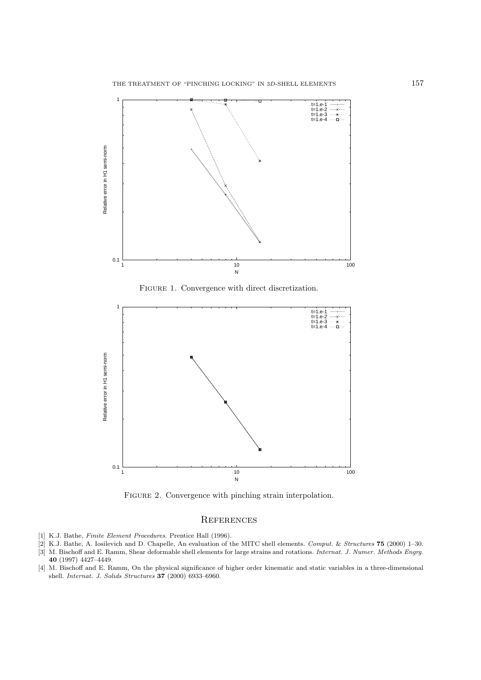

FIGURE 1. Convergence with direct discretization.



FIGURE 2. Convergence with pinching strain interpolation.

# **REFERENCES**

- [1] K.J. Bathe, *Finite Element Procedures*. Prentice Hall (1996).
- [2] K.J. Bathe, A. Iosilevich and D. Chapelle, An evaluation of the MITC shell elements. *Comput.* & *Structures* **75** (2000) 1–30.
- [3] M. Bischoff and E. Ramm, Shear deformable shell elements for large strains and rotations. *Internat. J. Numer. Methods Engrg.* **40** (1997) 4427–4449.
- [4] M. Bischoff and E. Ramm, On the physical significance of higher order kinematic and static variables in a three-dimensional shell. *Internat. J. Solids Structures* **37** (2000) 6933–6960.